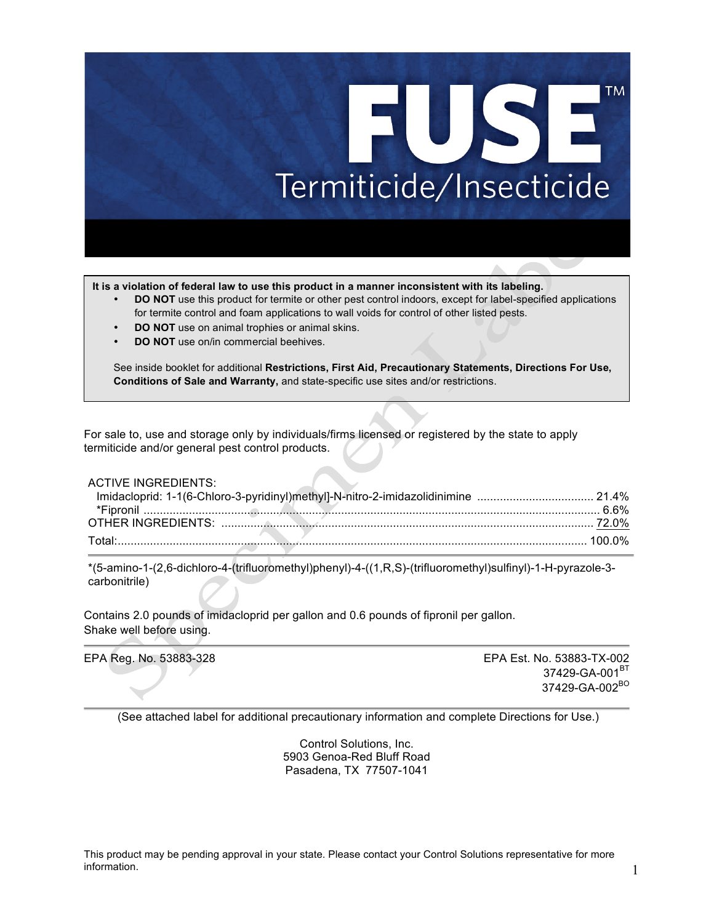# **TM** EUSE Termiticide/Insecticide

**It is a violation of federal law to use this product in a manner inconsistent with its labeling.**

- **DO NOT** use this product for termite or other pest control indoors, except for label-specified applications for termite control and foam applications to wall voids for control of other listed pests.
- **DO NOT** use on animal trophies or animal skins.
- **DO NOT** use on/in commercial beehives.

See inside booklet for additional **Restrictions, First Aid, Precautionary Statements, Directions For Use, Conditions of Sale and Warranty,** and state-specific use sites and/or restrictions.

For sale to, use and storage only by individuals/firms licensed or registered by the state to apply termiticide and/or general pest control products.

ACTIVE INGREDIENTS:

| Imidacloprid: 1-1(6-Chloro-3-pyridinyl)methyl]-N-nitro-2-imidazolidinimine  21.4% |  |
|-----------------------------------------------------------------------------------|--|
|                                                                                   |  |
|                                                                                   |  |
|                                                                                   |  |

\*(5-amino-1-(2,6-dichloro-4-(trifluoromethyl)phenyl)-4-((1,R,S)-(trifluoromethyl)sulfinyl)-1-H-pyrazole-3 carbonitrile)

Contains 2.0 pounds of imidacloprid per gallon and 0.6 pounds of fipronil per gallon. Shake well before using.

EPA Reg. No. 53883-328 EPA Est. No. 53883-TX-002 37429-GA-001<sup>BT</sup> 37429-GA-002<sup>BO</sup>

(See attached label for additional precautionary information and complete Directions for Use.)

Control Solutions, Inc. 5903 Genoa-Red Bluff Road Pasadena, TX 77507-1041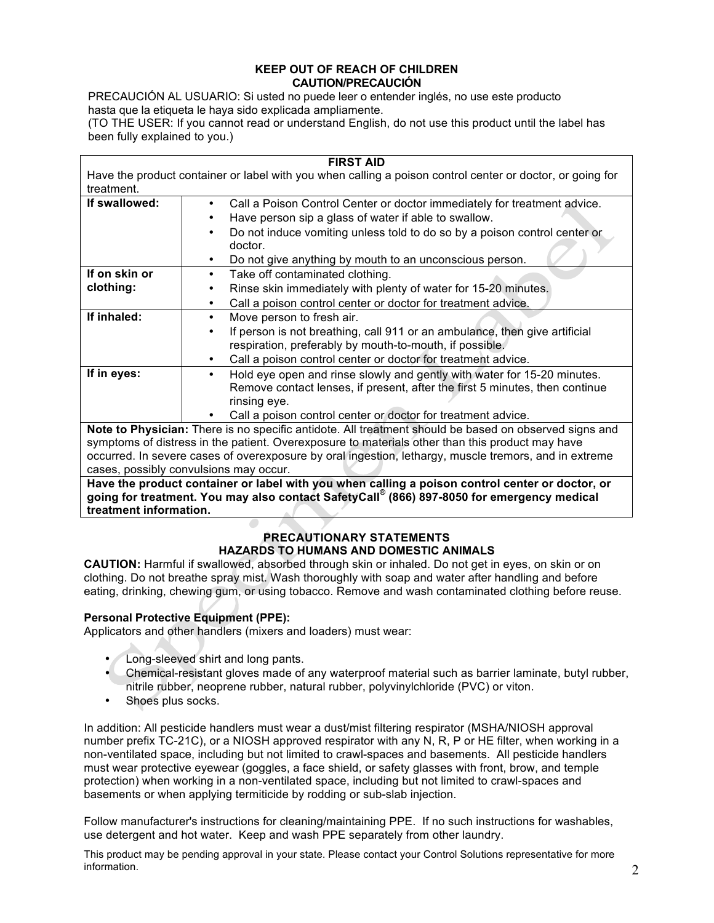#### **KEEP OUT OF REACH OF CHILDREN CAUTION/PRECAUCIÓN**

PRECAUCIÓN AL USUARIO: Si usted no puede leer o entender inglés, no use este producto hasta que la etiqueta le haya sido explicada ampliamente.

(TO THE USER: If you cannot read or understand English, do not use this product until the label has been fully explained to you.)

| <b>FIRST AID</b> |                                                                                                           |  |
|------------------|-----------------------------------------------------------------------------------------------------------|--|
|                  | Have the product container or label with you when calling a poison control center or doctor, or going for |  |
| treatment.       |                                                                                                           |  |
| If swallowed:    | Call a Poison Control Center or doctor immediately for treatment advice.<br>٠                             |  |
|                  | Have person sip a glass of water if able to swallow.                                                      |  |
|                  | Do not induce vomiting unless told to do so by a poison control center or                                 |  |
|                  | doctor.                                                                                                   |  |
|                  | Do not give anything by mouth to an unconscious person.<br>٠                                              |  |
| If on skin or    | Take off contaminated clothing.<br>٠                                                                      |  |
| clothing:        | Rinse skin immediately with plenty of water for 15-20 minutes.                                            |  |
|                  | Call a poison control center or doctor for treatment advice.<br>٠                                         |  |
| If inhaled:      | Move person to fresh air.<br>٠                                                                            |  |
|                  | If person is not breathing, call 911 or an ambulance, then give artificial<br>٠                           |  |
|                  | respiration, preferably by mouth-to-mouth, if possible.                                                   |  |
|                  | Call a poison control center or doctor for treatment advice.<br>٠                                         |  |
| If in eyes:      | Hold eye open and rinse slowly and gently with water for 15-20 minutes.<br>٠                              |  |
|                  | Remove contact lenses, if present, after the first 5 minutes, then continue                               |  |
|                  | rinsing eye.                                                                                              |  |
|                  | Call a poison control center or doctor for treatment advice.                                              |  |
|                  | Note to Physician: There is no specific antidote. All treatment should be based on observed signs and     |  |

symptoms of distress in the patient. Overexposure to materials other than this product may have occurred. In severe cases of overexposure by oral ingestion, lethargy, muscle tremors, and in extreme cases, possibly convulsions may occur.

**Have the product container or label with you when calling a poison control center or doctor, or going for treatment. You may also contact SafetyCall® (866) 897-8050 for emergency medical treatment information.**

# **PRECAUTIONARY STATEMENTS HAZARDS TO HUMANS AND DOMESTIC ANIMALS**

**CAUTION:** Harmful if swallowed, absorbed through skin or inhaled. Do not get in eyes, on skin or on clothing. Do not breathe spray mist. Wash thoroughly with soap and water after handling and before eating, drinking, chewing gum, or using tobacco. Remove and wash contaminated clothing before reuse.

# **Personal Protective Equipment (PPE):**

Applicators and other handlers (mixers and loaders) must wear:

- Long-sleeved shirt and long pants.
- Chemical-resistant gloves made of any waterproof material such as barrier laminate, butyl rubber, nitrile rubber, neoprene rubber, natural rubber, polyvinylchloride (PVC) or viton.
- Shoes plus socks.

In addition: All pesticide handlers must wear a dust/mist filtering respirator (MSHA/NIOSH approval number prefix TC-21C), or a NIOSH approved respirator with any N, R, P or HE filter, when working in a non-ventilated space, including but not limited to crawl-spaces and basements. All pesticide handlers must wear protective eyewear (goggles, a face shield, or safety glasses with front, brow, and temple protection) when working in a non-ventilated space, including but not limited to crawl-spaces and basements or when applying termiticide by rodding or sub-slab injection.

Follow manufacturer's instructions for cleaning/maintaining PPE. If no such instructions for washables, use detergent and hot water. Keep and wash PPE separately from other laundry.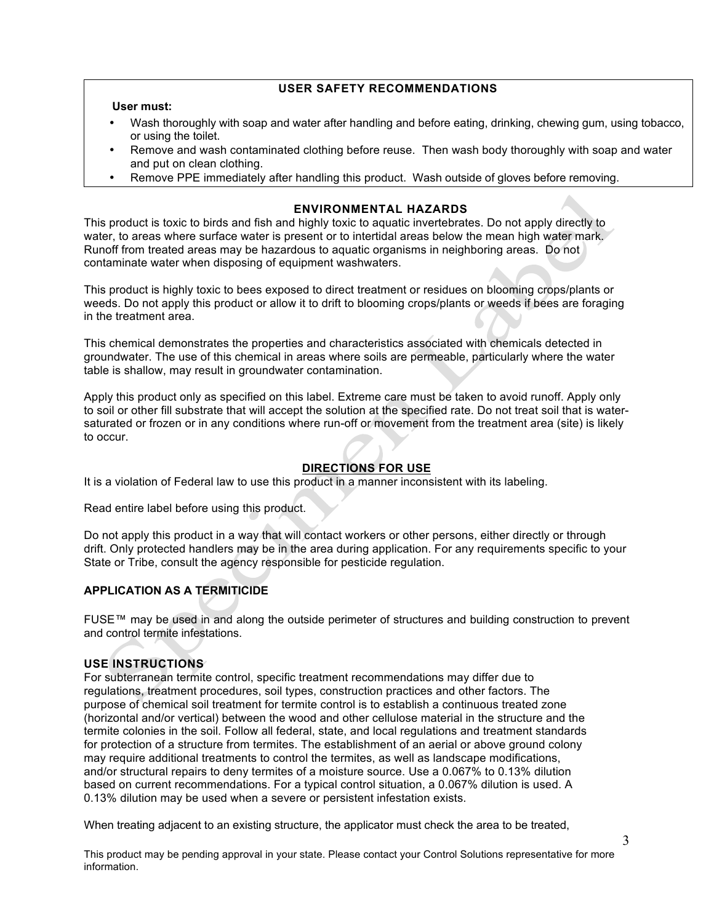# **USER SAFETY RECOMMENDATIONS**

#### **User must:**

- Wash thoroughly with soap and water after handling and before eating, drinking, chewing gum, using tobacco, or using the toilet.
- Remove and wash contaminated clothing before reuse. Then wash body thoroughly with soap and water and put on clean clothing.
- Remove PPE immediately after handling this product. Wash outside of gloves before removing.

## **ENVIRONMENTAL HAZARDS**

This product is toxic to birds and fish and highly toxic to aquatic invertebrates. Do not apply directly to water, to areas where surface water is present or to intertidal areas below the mean high water mark. Runoff from treated areas may be hazardous to aquatic organisms in neighboring areas. Do not contaminate water when disposing of equipment washwaters.

This product is highly toxic to bees exposed to direct treatment or residues on blooming crops/plants or weeds. Do not apply this product or allow it to drift to blooming crops/plants or weeds if bees are foraging in the treatment area.

This chemical demonstrates the properties and characteristics associated with chemicals detected in groundwater. The use of this chemical in areas where soils are permeable, particularly where the water table is shallow, may result in groundwater contamination.

Apply this product only as specified on this label. Extreme care must be taken to avoid runoff. Apply only to soil or other fill substrate that will accept the solution at the specified rate. Do not treat soil that is watersaturated or frozen or in any conditions where run-off or movement from the treatment area (site) is likely to occur.

# **DIRECTIONS FOR USE**

It is a violation of Federal law to use this product in a manner inconsistent with its labeling.

Read entire label before using this product.

Do not apply this product in a way that will contact workers or other persons, either directly or through drift. Only protected handlers may be in the area during application. For any requirements specific to your State or Tribe, consult the agency responsible for pesticide regulation.

# **APPLICATION AS A TERMITICIDE**

FUSE™ may be used in and along the outside perimeter of structures and building construction to prevent and control termite infestations.

#### **USE INSTRUCTIONS**

For subterranean termite control, specific treatment recommendations may differ due to regulations, treatment procedures, soil types, construction practices and other factors. The purpose of chemical soil treatment for termite control is to establish a continuous treated zone (horizontal and/or vertical) between the wood and other cellulose material in the structure and the termite colonies in the soil. Follow all federal, state, and local regulations and treatment standards for protection of a structure from termites. The establishment of an aerial or above ground colony may require additional treatments to control the termites, as well as landscape modifications, and/or structural repairs to deny termites of a moisture source. Use a 0.067% to 0.13% dilution based on current recommendations. For a typical control situation, a 0.067% dilution is used. A 0.13% dilution may be used when a severe or persistent infestation exists.

When treating adjacent to an existing structure, the applicator must check the area to be treated,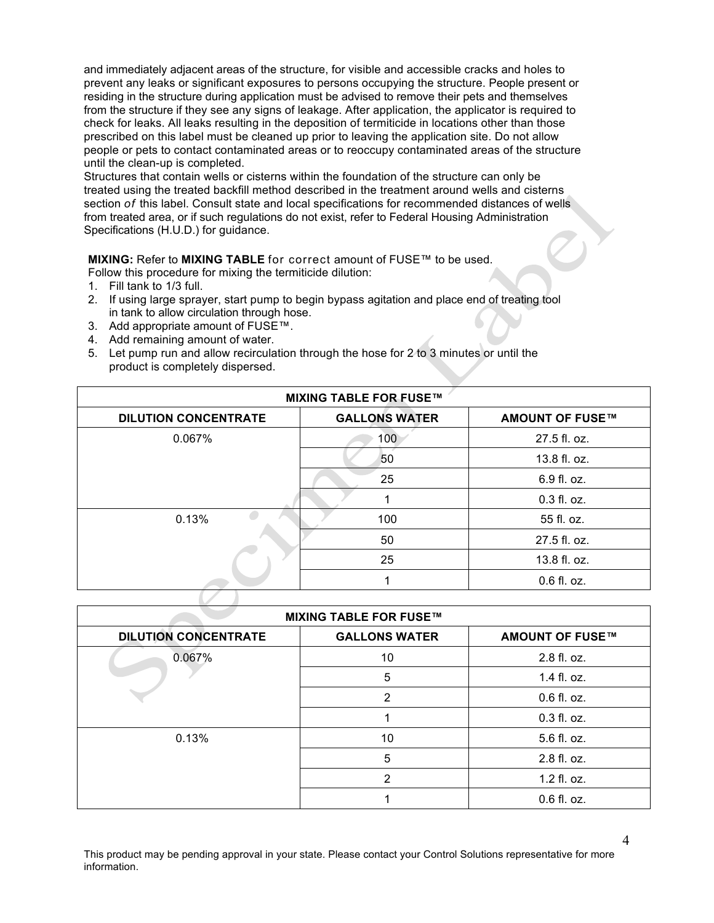and immediately adjacent areas of the structure, for visible and accessible cracks and holes to prevent any leaks or significant exposures to persons occupying the structure. People present or residing in the structure during application must be advised to remove their pets and themselves from the structure if they see any signs of leakage. After application, the applicator is required to check for leaks. All leaks resulting in the deposition of termiticide in locations other than those prescribed on this label must be cleaned up prior to leaving the application site. Do not allow people or pets to contact contaminated areas or to reoccupy contaminated areas of the structure until the clean-up is completed.

Structures that contain wells or cisterns within the foundation of the structure can only be treated using the treated backfill method described in the treatment around wells and cisterns section *of* this label. Consult state and local specifications for recommended distances of wells from treated area, or if such regulations do not exist, refer to Federal Housing Administration Specifications (H.U.D.) for guidance.

# **MIXING:** Refer to **MIXING TABLE** for correct amount of FUSE™ to be used.

Follow this procedure for mixing the termiticide dilution:

- 1. Fill tank to 1/3 full.
- 2. If using large sprayer, start pump to begin bypass agitation and place end of treating tool in tank to allow circulation through hose.
- 3. Add appropriate amount of FUSE™.
- 4. Add remaining amount of water.
- 5. Let pump run and allow recirculation through the hose for 2 to 3 minutes or until the product is completely dispersed.

| <b>MIXING TABLE FOR FUSE™</b> |                      |                        |
|-------------------------------|----------------------|------------------------|
| <b>DILUTION CONCENTRATE</b>   | <b>GALLONS WATER</b> | <b>AMOUNT OF FUSE™</b> |
| 0.067%                        | 100                  | 27.5 fl. oz.           |
|                               | 50                   | 13.8 fl. oz.           |
|                               | 25                   | 6.9 fl. oz.            |
|                               |                      | $0.3$ fl. oz.          |
| 0.13%                         | 100                  | 55 fl. oz.             |
|                               | 50                   | 27.5 fl. oz.           |
|                               | 25                   | 13.8 fl. oz.           |
|                               |                      | $0.6$ fl. oz.          |
|                               |                      |                        |

| <b>MIXING TABLE FOR FUSE™</b> |                      |                        |
|-------------------------------|----------------------|------------------------|
| <b>DILUTION CONCENTRATE</b>   | <b>GALLONS WATER</b> | <b>AMOUNT OF FUSE™</b> |
| $0.067\%$                     | 10                   | 2.8 fl. oz.            |
|                               | 5                    | 1.4 fl. oz.            |
|                               | 2                    | $0.6$ fl. oz.          |
|                               |                      | $0.3$ fl. oz.          |
| 0.13%                         | 10                   | 5.6 fl. oz.            |
|                               | 5                    | 2.8 fl. oz.            |
|                               | 2                    | 1.2 fl. oz.            |
|                               |                      | $0.6$ fl. oz.          |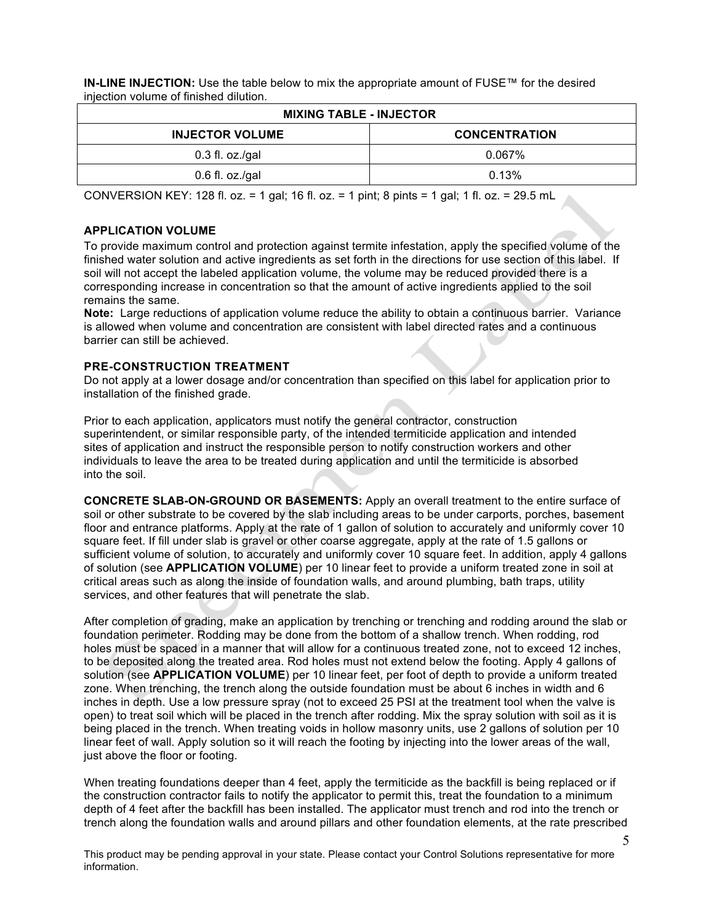**IN-LINE INJECTION:** Use the table below to mix the appropriate amount of FUSE™ for the desired injection volume of finished dilution.

| <b>MIXING TABLE - INJECTOR</b> |                      |  |
|--------------------------------|----------------------|--|
| <b>INJECTOR VOLUME</b>         | <b>CONCENTRATION</b> |  |
| $0.3$ fl. oz./gal              | $0.067\%$            |  |
| $0.6$ fl. oz./gal              | 0.13%                |  |

CONVERSION KEY: 128 fl. oz. = 1 gal; 16 fl. oz. = 1 pint; 8 pints = 1 gal; 1 fl. oz. = 29.5 mL

# **APPLICATION VOLUME**

To provide maximum control and protection against termite infestation, apply the specified volume of the finished water solution and active ingredients as set forth in the directions for use section of this label. If soil will not accept the labeled application volume, the volume may be reduced provided there is a corresponding increase in concentration so that the amount of active ingredients applied to the soil remains the same.

**Note:** Large reductions of application volume reduce the ability to obtain a continuous barrier. Variance is allowed when volume and concentration are consistent with label directed rates and a continuous barrier can still be achieved.

## **PRE-CONSTRUCTION TREATMENT**

Do not apply at a lower dosage and/or concentration than specified on this label for application prior to installation of the finished grade.

Prior to each application, applicators must notify the general contractor, construction superintendent, or similar responsible party, of the intended termiticide application and intended sites of application and instruct the responsible person to notify construction workers and other individuals to leave the area to be treated during application and until the termiticide is absorbed into the soil.

**CONCRETE SLAB-ON-GROUND OR BASEMENTS:** Apply an overall treatment to the entire surface of soil or other substrate to be covered by the slab including areas to be under carports, porches, basement floor and entrance platforms. Apply at the rate of 1 gallon of solution to accurately and uniformly cover 10 square feet. If fill under slab is gravel or other coarse aggregate, apply at the rate of 1.5 gallons or sufficient volume of solution, to accurately and uniformly cover 10 square feet. In addition, apply 4 gallons of solution (see **APPLICATION VOLUME**) per 10 linear feet to provide a uniform treated zone in soil at critical areas such as along the inside of foundation walls, and around plumbing, bath traps, utility services, and other features that will penetrate the slab.

After completion of grading, make an application by trenching or trenching and rodding around the slab or foundation perimeter. Rodding may be done from the bottom of a shallow trench. When rodding, rod holes must be spaced in a manner that will allow for a continuous treated zone, not to exceed 12 inches, to be deposited along the treated area. Rod holes must not extend below the footing. Apply 4 gallons of solution (see **APPLICATION VOLUME**) per 10 linear feet, per foot of depth to provide a uniform treated zone. When trenching, the trench along the outside foundation must be about 6 inches in width and 6 inches in depth. Use a low pressure spray (not to exceed 25 PSI at the treatment tool when the valve is open) to treat soil which will be placed in the trench after rodding. Mix the spray solution with soil as it is being placed in the trench. When treating voids in hollow masonry units, use 2 gallons of solution per 10 linear feet of wall. Apply solution so it will reach the footing by injecting into the lower areas of the wall, just above the floor or footing.

When treating foundations deeper than 4 feet, apply the termiticide as the backfill is being replaced or if the construction contractor fails to notify the applicator to permit this, treat the foundation to a minimum depth of 4 feet after the backfill has been installed. The applicator must trench and rod into the trench or trench along the foundation walls and around pillars and other foundation elements, at the rate prescribed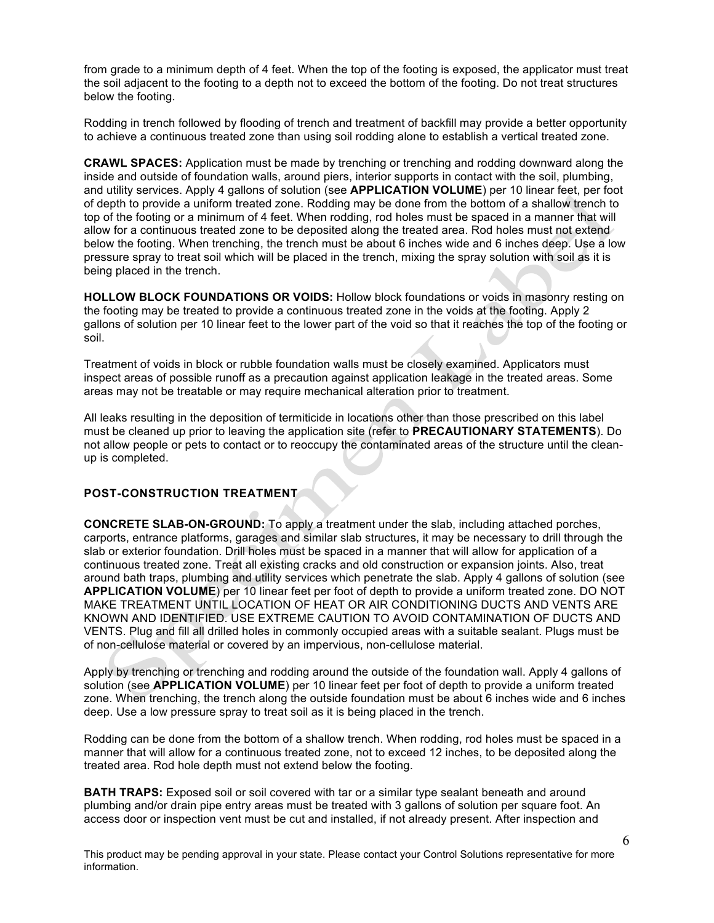from grade to a minimum depth of 4 feet. When the top of the footing is exposed, the applicator must treat the soil adjacent to the footing to a depth not to exceed the bottom of the footing. Do not treat structures below the footing.

Rodding in trench followed by flooding of trench and treatment of backfill may provide a better opportunity to achieve a continuous treated zone than using soil rodding alone to establish a vertical treated zone.

**CRAWL SPACES:** Application must be made by trenching or trenching and rodding downward along the inside and outside of foundation walls, around piers, interior supports in contact with the soil, plumbing, and utility services. Apply 4 gallons of solution (see **APPLICATION VOLUME**) per 10 linear feet, per foot of depth to provide a uniform treated zone. Rodding may be done from the bottom of a shallow trench to top of the footing or a minimum of 4 feet. When rodding, rod holes must be spaced in a manner that will allow for a continuous treated zone to be deposited along the treated area. Rod holes must not extend below the footing. When trenching, the trench must be about 6 inches wide and 6 inches deep. Use a low pressure spray to treat soil which will be placed in the trench, mixing the spray solution with soil as it is being placed in the trench.

**HOLLOW BLOCK FOUNDATIONS OR VOIDS:** Hollow block foundations or voids in masonry resting on the footing may be treated to provide a continuous treated zone in the voids at the footing. Apply 2 gallons of solution per 10 linear feet to the lower part of the void so that it reaches the top of the footing or soil.

Treatment of voids in block or rubble foundation walls must be closely examined. Applicators must inspect areas of possible runoff as a precaution against application leakage in the treated areas. Some areas may not be treatable or may require mechanical alteration prior to treatment.

All leaks resulting in the deposition of termiticide in locations other than those prescribed on this label must be cleaned up prior to leaving the application site (refer to **PRECAUTIONARY STATEMENTS**). Do not allow people or pets to contact or to reoccupy the contaminated areas of the structure until the cleanup is completed.

# **POST-CONSTRUCTION TREATMENT**

**CONCRETE SLAB-ON-GROUND:** To apply a treatment under the slab, including attached porches, carports, entrance platforms, garages and similar slab structures, it may be necessary to drill through the slab or exterior foundation. Drill holes must be spaced in a manner that will allow for application of a continuous treated zone. Treat all existing cracks and old construction or expansion joints. Also, treat around bath traps, plumbing and utility services which penetrate the slab. Apply 4 gallons of solution (see **APPLICATION VOLUME**) per 10 linear feet per foot of depth to provide a uniform treated zone. DO NOT MAKE TREATMENT UNTIL LOCATION OF HEAT OR AIR CONDITIONING DUCTS AND VENTS ARE KNOWN AND IDENTIFIED. USE EXTREME CAUTION TO AVOID CONTAMINATION OF DUCTS AND VENTS. Plug and fill all drilled holes in commonly occupied areas with a suitable sealant. Plugs must be of non-cellulose material or covered by an impervious, non-cellulose material.

Apply by trenching or trenching and rodding around the outside of the foundation wall. Apply 4 gallons of solution (see **APPLICATION VOLUME**) per 10 linear feet per foot of depth to provide a uniform treated zone. When trenching, the trench along the outside foundation must be about 6 inches wide and 6 inches deep. Use a low pressure spray to treat soil as it is being placed in the trench.

Rodding can be done from the bottom of a shallow trench. When rodding, rod holes must be spaced in a manner that will allow for a continuous treated zone, not to exceed 12 inches, to be deposited along the treated area. Rod hole depth must not extend below the footing.

**BATH TRAPS:** Exposed soil or soil covered with tar or a similar type sealant beneath and around plumbing and/or drain pipe entry areas must be treated with 3 gallons of solution per square foot. An access door or inspection vent must be cut and installed, if not already present. After inspection and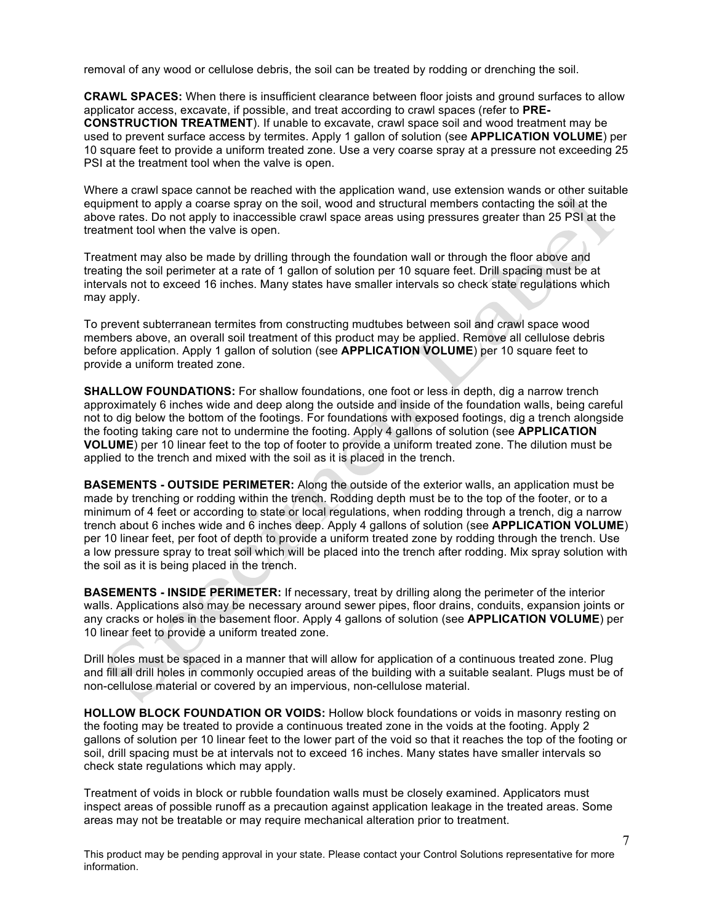removal of any wood or cellulose debris, the soil can be treated by rodding or drenching the soil.

**CRAWL SPACES:** When there is insufficient clearance between floor joists and ground surfaces to allow applicator access, excavate, if possible, and treat according to crawl spaces (refer to **PRE-CONSTRUCTION TREATMENT**). If unable to excavate, crawl space soil and wood treatment may be used to prevent surface access by termites. Apply 1 gallon of solution (see **APPLICATION VOLUME**) per 10 square feet to provide a uniform treated zone. Use a very coarse spray at a pressure not exceeding 25 PSI at the treatment tool when the valve is open.

Where a crawl space cannot be reached with the application wand, use extension wands or other suitable equipment to apply a coarse spray on the soil, wood and structural members contacting the soil at the above rates. Do not apply to inaccessible crawl space areas using pressures greater than 25 PSI at the treatment tool when the valve is open.

Treatment may also be made by drilling through the foundation wall or through the floor above and treating the soil perimeter at a rate of 1 gallon of solution per 10 square feet. Drill spacing must be at intervals not to exceed 16 inches. Many states have smaller intervals so check state regulations which may apply.

To prevent subterranean termites from constructing mudtubes between soil and crawl space wood members above, an overall soil treatment of this product may be applied. Remove all cellulose debris before application. Apply 1 gallon of solution (see **APPLICATION VOLUME**) per 10 square feet to provide a uniform treated zone.

**SHALLOW FOUNDATIONS:** For shallow foundations, one foot or less in depth, dig a narrow trench approximately 6 inches wide and deep along the outside and inside of the foundation walls, being careful not to dig below the bottom of the footings. For foundations with exposed footings, dig a trench alongside the footing taking care not to undermine the footing. Apply 4 gallons of solution (see **APPLICATION VOLUME**) per 10 linear feet to the top of footer to provide a uniform treated zone. The dilution must be applied to the trench and mixed with the soil as it is placed in the trench.

**BASEMENTS - OUTSIDE PERIMETER:** Along the outside of the exterior walls, an application must be made by trenching or rodding within the trench. Rodding depth must be to the top of the footer, or to a minimum of 4 feet or according to state or local regulations, when rodding through a trench, dig a narrow trench about 6 inches wide and 6 inches deep. Apply 4 gallons of solution (see **APPLICATION VOLUME**) per 10 linear feet, per foot of depth to provide a uniform treated zone by rodding through the trench. Use a low pressure spray to treat soil which will be placed into the trench after rodding. Mix spray solution with the soil as it is being placed in the trench.

**BASEMENTS - INSIDE PERIMETER:** If necessary, treat by drilling along the perimeter of the interior walls. Applications also may be necessary around sewer pipes, floor drains, conduits, expansion joints or any cracks or holes in the basement floor. Apply 4 gallons of solution (see **APPLICATION VOLUME**) per 10 linear feet to provide a uniform treated zone.

Drill holes must be spaced in a manner that will allow for application of a continuous treated zone. Plug and fill all drill holes in commonly occupied areas of the building with a suitable sealant. Plugs must be of non-cellulose material or covered by an impervious, non-cellulose material.

**HOLLOW BLOCK FOUNDATION OR VOIDS:** Hollow block foundations or voids in masonry resting on the footing may be treated to provide a continuous treated zone in the voids at the footing. Apply 2 gallons of solution per 10 linear feet to the lower part of the void so that it reaches the top of the footing or soil, drill spacing must be at intervals not to exceed 16 inches. Many states have smaller intervals so check state regulations which may apply.

Treatment of voids in block or rubble foundation walls must be closely examined. Applicators must inspect areas of possible runoff as a precaution against application leakage in the treated areas. Some areas may not be treatable or may require mechanical alteration prior to treatment.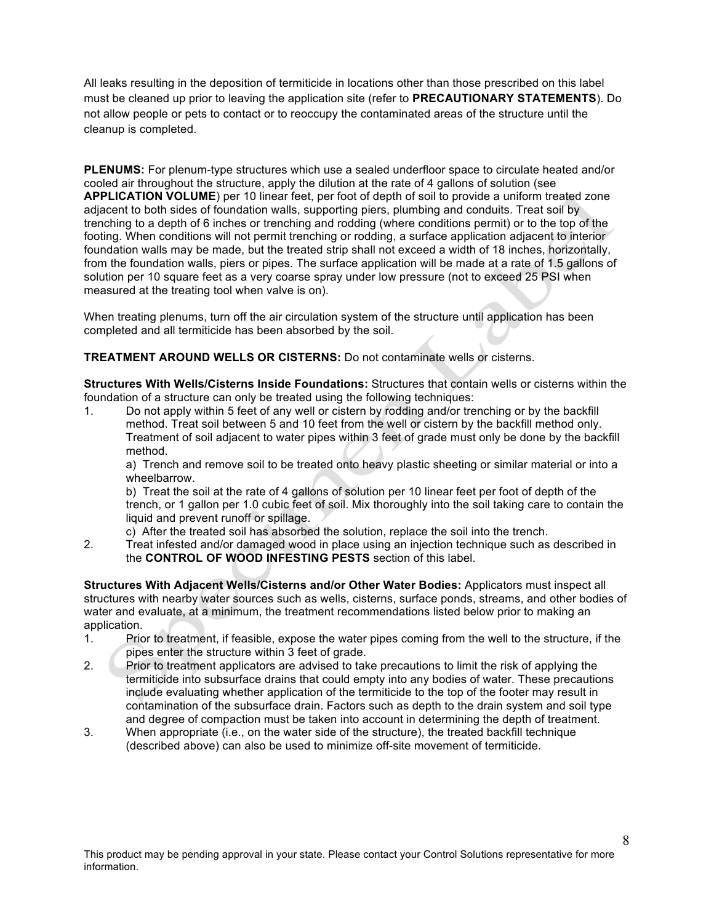All leaks resulting in the deposition of termiticide in locations other than those prescribed on this label must be cleaned up prior to leaving the application site (refer to **PRECAUTIONARY STATEMENTS**). Do not allow people or pets to contact or to reoccupy the contaminated areas of the structure until the cleanup is completed.

**PLENUMS:** For plenum-type structures which use a sealed underfloor space to circulate heated and/or cooled air throughout the structure, apply the dilution at the rate of 4 gallons of solution (see **APPLICATION VOLUME**) per 10 linear feet, per foot of depth of soil to provide a uniform treated zone adjacent to both sides of foundation walls, supporting piers, plumbing and conduits. Treat soil by trenching to a depth of 6 inches or trenching and rodding (where conditions permit) or to the top of the footing. When conditions will not permit trenching or rodding, a surface application adjacent to interior foundation walls may be made, but the treated strip shall not exceed a width of 18 inches, horizontally, from the foundation walls, piers or pipes. The surface application will be made at a rate of 1.5 gallons of solution per 10 square feet as a very coarse spray under low pressure (not to exceed 25 PSI when measured at the treating tool when valve is on).

When treating plenums, turn off the air circulation system of the structure until application has been completed and all termiticide has been absorbed by the soil.

**TREATMENT AROUND WELLS OR CISTERNS:** Do not contaminate wells or cisterns.

**Structures With Wells/Cisterns Inside Foundations:** Structures that contain wells or cisterns within the foundation of a structure can only be treated using the following techniques:

1. Do not apply within 5 feet of any well or cistern by rodding and/or trenching or by the backfill method. Treat soil between 5 and 10 feet from the well or cistern by the backfill method only. Treatment of soil adjacent to water pipes within 3 feet of grade must only be done by the backfill method.

a) Trench and remove soil to be treated onto heavy plastic sheeting or similar material or into a wheelbarrow.

b) Treat the soil at the rate of 4 gallons of solution per 10 linear feet per foot of depth of the trench, or 1 gallon per 1.0 cubic feet of soil. Mix thoroughly into the soil taking care to contain the liquid and prevent runoff or spillage.

c) After the treated soil has absorbed the solution, replace the soil into the trench.

2. Treat infested and/or damaged wood in place using an injection technique such as described in the **CONTROL OF WOOD INFESTING PESTS** section of this label.

**Structures With Adjacent Wells/Cisterns and/or Other Water Bodies:** Applicators must inspect all structures with nearby water sources such as wells, cisterns, surface ponds, streams, and other bodies of water and evaluate, at a minimum, the treatment recommendations listed below prior to making an application.<br>1. Pric

- 1. Prior to treatment, if feasible, expose the water pipes coming from the well to the structure, if the pipes enter the structure within 3 feet of grade.
- 2. Prior to treatment applicators are advised to take precautions to limit the risk of applying the termiticide into subsurface drains that could empty into any bodies of water. These precautions include evaluating whether application of the termiticide to the top of the footer may result in contamination of the subsurface drain. Factors such as depth to the drain system and soil type and degree of compaction must be taken into account in determining the depth of treatment.
- 3. When appropriate (i.e., on the water side of the structure), the treated backfill technique (described above) can also be used to minimize off-site movement of termiticide.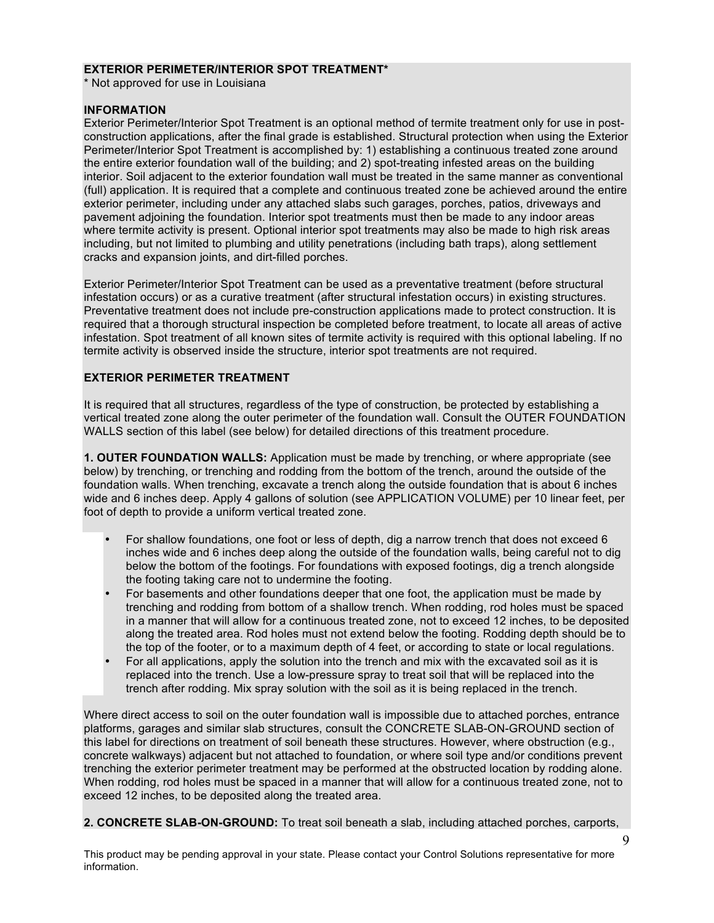#### **EXTERIOR PERIMETER/INTERIOR SPOT TREATMENT\***

\* Not approved for use in Louisiana

## **INFORMATION**

Exterior Perimeter/Interior Spot Treatment is an optional method of termite treatment only for use in postconstruction applications, after the final grade is established. Structural protection when using the Exterior Perimeter/Interior Spot Treatment is accomplished by: 1) establishing a continuous treated zone around the entire exterior foundation wall of the building; and 2) spot-treating infested areas on the building interior. Soil adjacent to the exterior foundation wall must be treated in the same manner as conventional (full) application. It is required that a complete and continuous treated zone be achieved around the entire exterior perimeter, including under any attached slabs such garages, porches, patios, driveways and pavement adjoining the foundation. Interior spot treatments must then be made to any indoor areas where termite activity is present. Optional interior spot treatments may also be made to high risk areas including, but not limited to plumbing and utility penetrations (including bath traps), along settlement cracks and expansion joints, and dirt-filled porches.

Exterior Perimeter/Interior Spot Treatment can be used as a preventative treatment (before structural infestation occurs) or as a curative treatment (after structural infestation occurs) in existing structures. Preventative treatment does not include pre-construction applications made to protect construction. It is required that a thorough structural inspection be completed before treatment, to locate all areas of active infestation. Spot treatment of all known sites of termite activity is required with this optional labeling. If no termite activity is observed inside the structure, interior spot treatments are not required.

# **EXTERIOR PERIMETER TREATMENT**

It is required that all structures, regardless of the type of construction, be protected by establishing a vertical treated zone along the outer perimeter of the foundation wall. Consult the OUTER FOUNDATION WALLS section of this label (see below) for detailed directions of this treatment procedure.

**1. OUTER FOUNDATION WALLS:** Application must be made by trenching, or where appropriate (see below) by trenching, or trenching and rodding from the bottom of the trench, around the outside of the foundation walls. When trenching, excavate a trench along the outside foundation that is about 6 inches wide and 6 inches deep. Apply 4 gallons of solution (see APPLICATION VOLUME) per 10 linear feet, per foot of depth to provide a uniform vertical treated zone.

- For shallow foundations, one foot or less of depth, dig a narrow trench that does not exceed 6 inches wide and 6 inches deep along the outside of the foundation walls, being careful not to dig below the bottom of the footings. For foundations with exposed footings, dig a trench alongside the footing taking care not to undermine the footing.
- For basements and other foundations deeper that one foot, the application must be made by trenching and rodding from bottom of a shallow trench. When rodding, rod holes must be spaced in a manner that will allow for a continuous treated zone, not to exceed 12 inches, to be deposited along the treated area. Rod holes must not extend below the footing. Rodding depth should be to the top of the footer, or to a maximum depth of 4 feet, or according to state or local regulations.
- For all applications, apply the solution into the trench and mix with the excavated soil as it is replaced into the trench. Use a low-pressure spray to treat soil that will be replaced into the trench after rodding. Mix spray solution with the soil as it is being replaced in the trench.

Where direct access to soil on the outer foundation wall is impossible due to attached porches, entrance platforms, garages and similar slab structures, consult the CONCRETE SLAB-ON-GROUND section of this label for directions on treatment of soil beneath these structures. However, where obstruction (e.g., concrete walkways) adjacent but not attached to foundation, or where soil type and/or conditions prevent trenching the exterior perimeter treatment may be performed at the obstructed location by rodding alone. When rodding, rod holes must be spaced in a manner that will allow for a continuous treated zone, not to exceed 12 inches, to be deposited along the treated area.

**2. CONCRETE SLAB-ON-GROUND:** To treat soil beneath a slab, including attached porches, carports,

9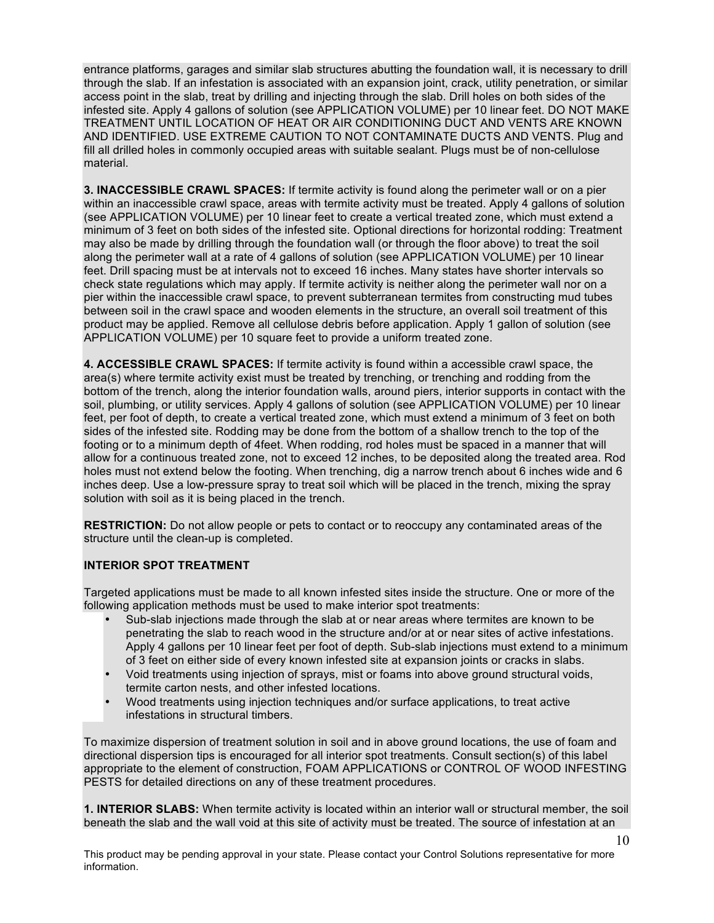entrance platforms, garages and similar slab structures abutting the foundation wall, it is necessary to drill through the slab. If an infestation is associated with an expansion joint, crack, utility penetration, or similar access point in the slab, treat by drilling and injecting through the slab. Drill holes on both sides of the infested site. Apply 4 gallons of solution (see APPLICATION VOLUME) per 10 linear feet. DO NOT MAKE TREATMENT UNTIL LOCATION OF HEAT OR AIR CONDITIONING DUCT AND VENTS ARE KNOWN AND IDENTIFIED. USE EXTREME CAUTION TO NOT CONTAMINATE DUCTS AND VENTS. Plug and fill all drilled holes in commonly occupied areas with suitable sealant. Plugs must be of non-cellulose material.

**3. INACCESSIBLE CRAWL SPACES:** If termite activity is found along the perimeter wall or on a pier within an inaccessible crawl space, areas with termite activity must be treated. Apply 4 gallons of solution (see APPLICATION VOLUME) per 10 linear feet to create a vertical treated zone, which must extend a minimum of 3 feet on both sides of the infested site. Optional directions for horizontal rodding: Treatment may also be made by drilling through the foundation wall (or through the floor above) to treat the soil along the perimeter wall at a rate of 4 gallons of solution (see APPLICATION VOLUME) per 10 linear feet. Drill spacing must be at intervals not to exceed 16 inches. Many states have shorter intervals so check state regulations which may apply. If termite activity is neither along the perimeter wall nor on a pier within the inaccessible crawl space, to prevent subterranean termites from constructing mud tubes between soil in the crawl space and wooden elements in the structure, an overall soil treatment of this product may be applied. Remove all cellulose debris before application. Apply 1 gallon of solution (see APPLICATION VOLUME) per 10 square feet to provide a uniform treated zone.

**4. ACCESSIBLE CRAWL SPACES:** If termite activity is found within a accessible crawl space, the area(s) where termite activity exist must be treated by trenching, or trenching and rodding from the bottom of the trench, along the interior foundation walls, around piers, interior supports in contact with the soil, plumbing, or utility services. Apply 4 gallons of solution (see APPLICATION VOLUME) per 10 linear feet, per foot of depth, to create a vertical treated zone, which must extend a minimum of 3 feet on both sides of the infested site. Rodding may be done from the bottom of a shallow trench to the top of the footing or to a minimum depth of 4feet. When rodding, rod holes must be spaced in a manner that will allow for a continuous treated zone, not to exceed 12 inches, to be deposited along the treated area. Rod holes must not extend below the footing. When trenching, dig a narrow trench about 6 inches wide and 6 inches deep. Use a low-pressure spray to treat soil which will be placed in the trench, mixing the spray solution with soil as it is being placed in the trench.

**RESTRICTION:** Do not allow people or pets to contact or to reoccupy any contaminated areas of the structure until the clean-up is completed.

# **INTERIOR SPOT TREATMENT**

Targeted applications must be made to all known infested sites inside the structure. One or more of the following application methods must be used to make interior spot treatments:

- Sub-slab injections made through the slab at or near areas where termites are known to be penetrating the slab to reach wood in the structure and/or at or near sites of active infestations. Apply 4 gallons per 10 linear feet per foot of depth. Sub-slab injections must extend to a minimum of 3 feet on either side of every known infested site at expansion joints or cracks in slabs.
- Void treatments using injection of sprays, mist or foams into above ground structural voids, termite carton nests, and other infested locations.
- Wood treatments using injection techniques and/or surface applications, to treat active infestations in structural timbers.

To maximize dispersion of treatment solution in soil and in above ground locations, the use of foam and directional dispersion tips is encouraged for all interior spot treatments. Consult section(s) of this label appropriate to the element of construction, FOAM APPLICATIONS or CONTROL OF WOOD INFESTING PESTS for detailed directions on any of these treatment procedures.

**1. INTERIOR SLABS:** When termite activity is located within an interior wall or structural member, the soil beneath the slab and the wall void at this site of activity must be treated. The source of infestation at an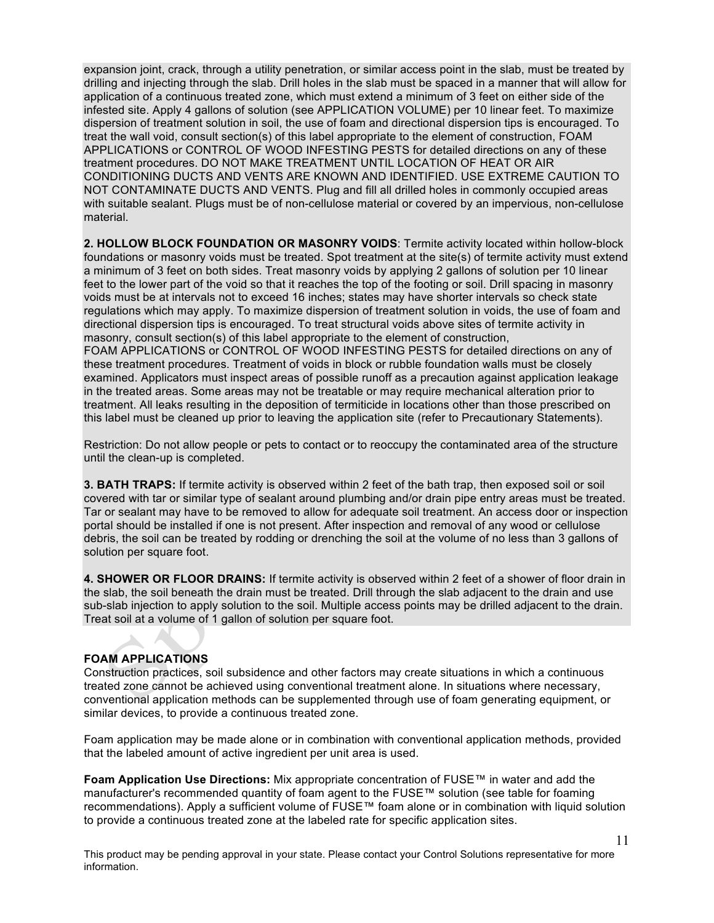expansion joint, crack, through a utility penetration, or similar access point in the slab, must be treated by drilling and injecting through the slab. Drill holes in the slab must be spaced in a manner that will allow for application of a continuous treated zone, which must extend a minimum of 3 feet on either side of the infested site. Apply 4 gallons of solution (see APPLICATION VOLUME) per 10 linear feet. To maximize dispersion of treatment solution in soil, the use of foam and directional dispersion tips is encouraged. To treat the wall void, consult section(s) of this label appropriate to the element of construction, FOAM APPLICATIONS or CONTROL OF WOOD INFESTING PESTS for detailed directions on any of these treatment procedures. DO NOT MAKE TREATMENT UNTIL LOCATION OF HEAT OR AIR CONDITIONING DUCTS AND VENTS ARE KNOWN AND IDENTIFIED. USE EXTREME CAUTION TO NOT CONTAMINATE DUCTS AND VENTS. Plug and fill all drilled holes in commonly occupied areas with suitable sealant. Plugs must be of non-cellulose material or covered by an impervious, non-cellulose material.

**2. HOLLOW BLOCK FOUNDATION OR MASONRY VOIDS**: Termite activity located within hollow-block foundations or masonry voids must be treated. Spot treatment at the site(s) of termite activity must extend a minimum of 3 feet on both sides. Treat masonry voids by applying 2 gallons of solution per 10 linear feet to the lower part of the void so that it reaches the top of the footing or soil. Drill spacing in masonry voids must be at intervals not to exceed 16 inches; states may have shorter intervals so check state regulations which may apply. To maximize dispersion of treatment solution in voids, the use of foam and directional dispersion tips is encouraged. To treat structural voids above sites of termite activity in masonry, consult section(s) of this label appropriate to the element of construction, FOAM APPLICATIONS or CONTROL OF WOOD INFESTING PESTS for detailed directions on any of

these treatment procedures. Treatment of voids in block or rubble foundation walls must be closely examined. Applicators must inspect areas of possible runoff as a precaution against application leakage in the treated areas. Some areas may not be treatable or may require mechanical alteration prior to treatment. All leaks resulting in the deposition of termiticide in locations other than those prescribed on this label must be cleaned up prior to leaving the application site (refer to Precautionary Statements).

Restriction: Do not allow people or pets to contact or to reoccupy the contaminated area of the structure until the clean-up is completed.

**3. BATH TRAPS:** If termite activity is observed within 2 feet of the bath trap, then exposed soil or soil covered with tar or similar type of sealant around plumbing and/or drain pipe entry areas must be treated. Tar or sealant may have to be removed to allow for adequate soil treatment. An access door or inspection portal should be installed if one is not present. After inspection and removal of any wood or cellulose debris, the soil can be treated by rodding or drenching the soil at the volume of no less than 3 gallons of solution per square foot.

**4. SHOWER OR FLOOR DRAINS:** If termite activity is observed within 2 feet of a shower of floor drain in the slab, the soil beneath the drain must be treated. Drill through the slab adjacent to the drain and use sub-slab injection to apply solution to the soil. Multiple access points may be drilled adjacent to the drain. Treat soil at a volume of 1 gallon of solution per square foot.

#### **FOAM APPLICATIONS**

Construction practices, soil subsidence and other factors may create situations in which a continuous treated zone cannot be achieved using conventional treatment alone. In situations where necessary, conventional application methods can be supplemented through use of foam generating equipment, or similar devices, to provide a continuous treated zone.

Foam application may be made alone or in combination with conventional application methods, provided that the labeled amount of active ingredient per unit area is used.

**Foam Application Use Directions:** Mix appropriate concentration of FUSE™ in water and add the manufacturer's recommended quantity of foam agent to the FUSE™ solution (see table for foaming recommendations). Apply a sufficient volume of FUSE™ foam alone or in combination with liquid solution to provide a continuous treated zone at the labeled rate for specific application sites.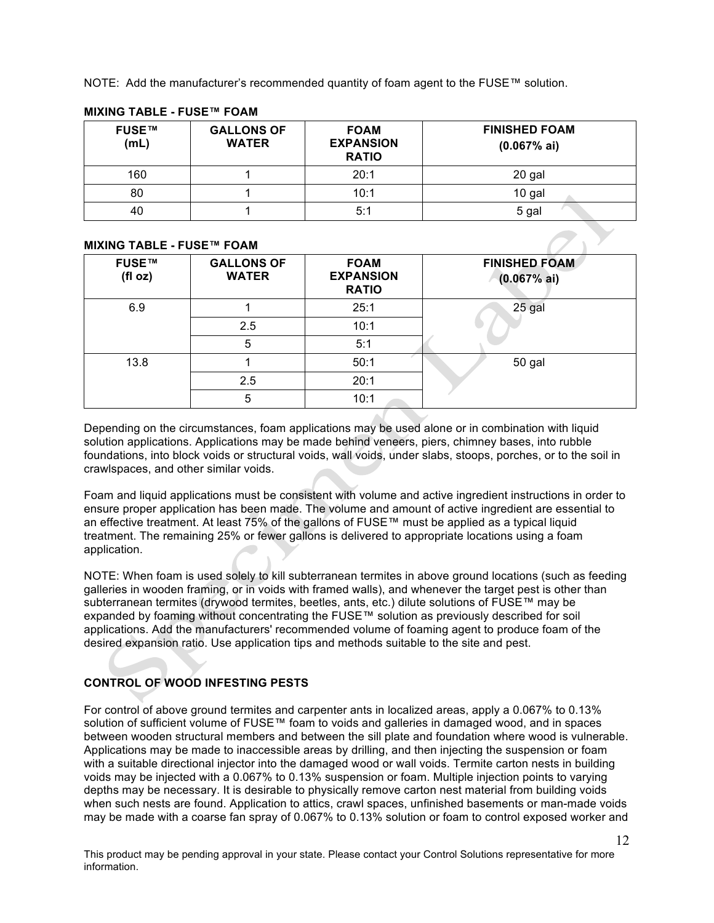NOTE: Add the manufacturer's recommended quantity of foam agent to the FUSE™ solution.

| FUSE™<br>(mL) | <b>GALLONS OF</b><br><b>WATER</b> | <b>FOAM</b><br><b>EXPANSION</b><br><b>RATIO</b> | <b>FINISHED FOAM</b><br>(0.067% a) |
|---------------|-----------------------------------|-------------------------------------------------|------------------------------------|
| 160           |                                   | 20:1                                            | 20 gal                             |
| 80            |                                   | 10:1                                            | 10 gal                             |
| 40            |                                   | 5:1                                             | 5 gal                              |

## **MIXING TABLE - FUSE™ FOAM**

# **MIXING TABLE - FUSE™ FOAM**

| <b>FUSE™</b><br>(fI oz) | <b>GALLONS OF</b><br><b>WATER</b> | <b>FOAM</b><br><b>EXPANSION</b><br><b>RATIO</b> | <b>FINISHED FOAM</b><br>(0.067% a) |
|-------------------------|-----------------------------------|-------------------------------------------------|------------------------------------|
| 6.9                     |                                   | 25:1                                            | 25 gal                             |
|                         | 2.5                               | 10:1                                            |                                    |
|                         | 5                                 | 5:1                                             |                                    |
| 13.8                    |                                   | 50:1                                            | 50 gal                             |
|                         | 2.5                               | 20:1                                            |                                    |
|                         | 5                                 | 10:1                                            |                                    |

Depending on the circumstances, foam applications may be used alone or in combination with liquid solution applications. Applications may be made behind veneers, piers, chimney bases, into rubble foundations, into block voids or structural voids, wall voids, under slabs, stoops, porches, or to the soil in crawlspaces, and other similar voids.

Foam and liquid applications must be consistent with volume and active ingredient instructions in order to ensure proper application has been made. The volume and amount of active ingredient are essential to an effective treatment. At least 75% of the gallons of FUSE™ must be applied as a typical liquid treatment. The remaining 25% or fewer gallons is delivered to appropriate locations using a foam application.

NOTE: When foam is used solely to kill subterranean termites in above ground locations (such as feeding galleries in wooden framing, or in voids with framed walls), and whenever the target pest is other than subterranean termites (drywood termites, beetles, ants, etc.) dilute solutions of FUSE™ may be expanded by foaming without concentrating the FUSE™ solution as previously described for soil applications. Add the manufacturers' recommended volume of foaming agent to produce foam of the desired expansion ratio. Use application tips and methods suitable to the site and pest.

# **CONTROL OF WOOD INFESTING PESTS**

For control of above ground termites and carpenter ants in localized areas, apply a 0.067% to 0.13% solution of sufficient volume of FUSE™ foam to voids and galleries in damaged wood, and in spaces between wooden structural members and between the sill plate and foundation where wood is vulnerable. Applications may be made to inaccessible areas by drilling, and then injecting the suspension or foam with a suitable directional injector into the damaged wood or wall voids. Termite carton nests in building voids may be injected with a 0.067% to 0.13% suspension or foam. Multiple injection points to varying depths may be necessary. It is desirable to physically remove carton nest material from building voids when such nests are found. Application to attics, crawl spaces, unfinished basements or man-made voids may be made with a coarse fan spray of 0.067% to 0.13% solution or foam to control exposed worker and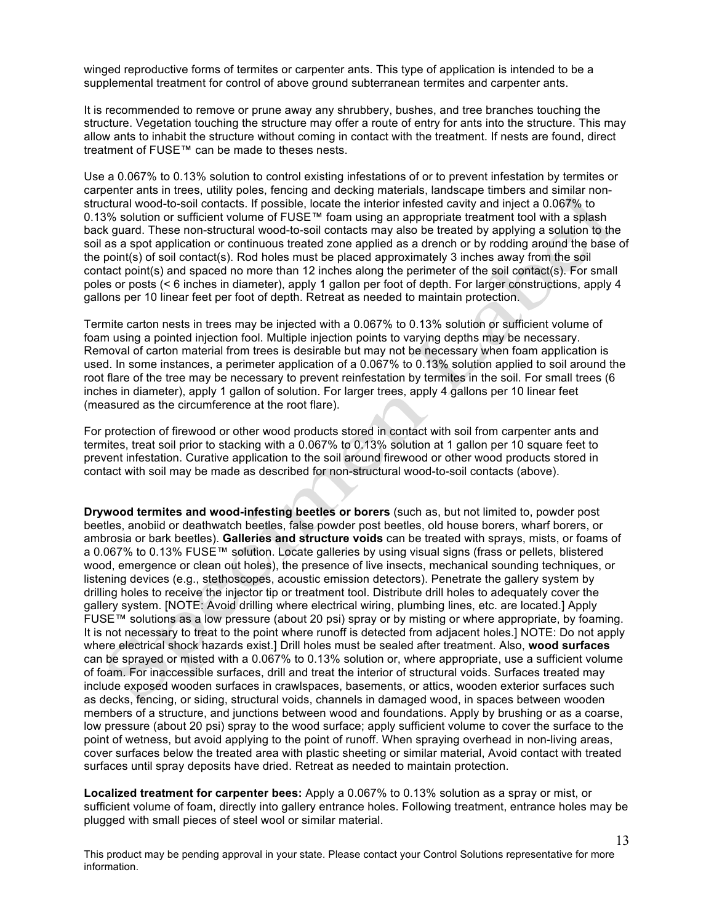winged reproductive forms of termites or carpenter ants. This type of application is intended to be a supplemental treatment for control of above ground subterranean termites and carpenter ants.

It is recommended to remove or prune away any shrubbery, bushes, and tree branches touching the structure. Vegetation touching the structure may offer a route of entry for ants into the structure. This may allow ants to inhabit the structure without coming in contact with the treatment. If nests are found, direct treatment of FUSE™ can be made to theses nests.

Use a 0.067% to 0.13% solution to control existing infestations of or to prevent infestation by termites or carpenter ants in trees, utility poles, fencing and decking materials, landscape timbers and similar nonstructural wood-to-soil contacts. If possible, locate the interior infested cavity and inject a 0.067% to 0.13% solution or sufficient volume of FUSE™ foam using an appropriate treatment tool with a splash back guard. These non-structural wood-to-soil contacts may also be treated by applying a solution to the soil as a spot application or continuous treated zone applied as a drench or by rodding around the base of the point(s) of soil contact(s). Rod holes must be placed approximately 3 inches away from the soil contact point(s) and spaced no more than 12 inches along the perimeter of the soil contact(s). For small poles or posts (< 6 inches in diameter), apply 1 gallon per foot of depth. For larger constructions, apply 4 gallons per 10 linear feet per foot of depth. Retreat as needed to maintain protection.

Termite carton nests in trees may be injected with a 0.067% to 0.13% solution or sufficient volume of foam using a pointed injection fool. Multiple injection points to varying depths may be necessary. Removal of carton material from trees is desirable but may not be necessary when foam application is used. In some instances, a perimeter application of a 0.067% to 0.13% solution applied to soil around the root flare of the tree may be necessary to prevent reinfestation by termites in the soil. For small trees (6 inches in diameter), apply 1 gallon of solution. For larger trees, apply 4 gallons per 10 linear feet (measured as the circumference at the root flare).

For protection of firewood or other wood products stored in contact with soil from carpenter ants and termites, treat soil prior to stacking with a 0.067% to 0.13% solution at 1 gallon per 10 square feet to prevent infestation. Curative application to the soil around firewood or other wood products stored in contact with soil may be made as described for non-structural wood-to-soil contacts (above).

**Drywood termites and wood-infesting beetles or borers** (such as, but not limited to, powder post beetles, anobiid or deathwatch beetles, false powder post beetles, old house borers, wharf borers, or ambrosia or bark beetles). **Galleries and structure voids** can be treated with sprays, mists, or foams of a 0.067% to 0.13% FUSE™ solution. Locate galleries by using visual signs (frass or pellets, blistered wood, emergence or clean out holes), the presence of live insects, mechanical sounding techniques, or listening devices (e.g., stethoscopes, acoustic emission detectors). Penetrate the gallery system by drilling holes to receive the injector tip or treatment tool. Distribute drill holes to adequately cover the gallery system. [NOTE: Avoid drilling where electrical wiring, plumbing lines, etc. are located.] Apply FUSE™ solutions as a low pressure (about 20 psi) spray or by misting or where appropriate, by foaming. It is not necessary to treat to the point where runoff is detected from adjacent holes.] NOTE: Do not apply where electrical shock hazards exist.] Drill holes must be sealed after treatment. Also, **wood surfaces** can be sprayed or misted with a 0.067% to 0.13% solution or, where appropriate, use a sufficient volume of foam. For inaccessible surfaces, drill and treat the interior of structural voids. Surfaces treated may include exposed wooden surfaces in crawlspaces, basements, or attics, wooden exterior surfaces such as decks, fencing, or siding, structural voids, channels in damaged wood, in spaces between wooden members of a structure, and junctions between wood and foundations. Apply by brushing or as a coarse, low pressure (about 20 psi) spray to the wood surface; apply sufficient volume to cover the surface to the point of wetness, but avoid applying to the point of runoff. When spraying overhead in non-living areas, cover surfaces below the treated area with plastic sheeting or similar material, Avoid contact with treated surfaces until spray deposits have dried. Retreat as needed to maintain protection.

**Localized treatment for carpenter bees:** Apply a 0.067% to 0.13% solution as a spray or mist, or sufficient volume of foam, directly into gallery entrance holes. Following treatment, entrance holes may be plugged with small pieces of steel wool or similar material.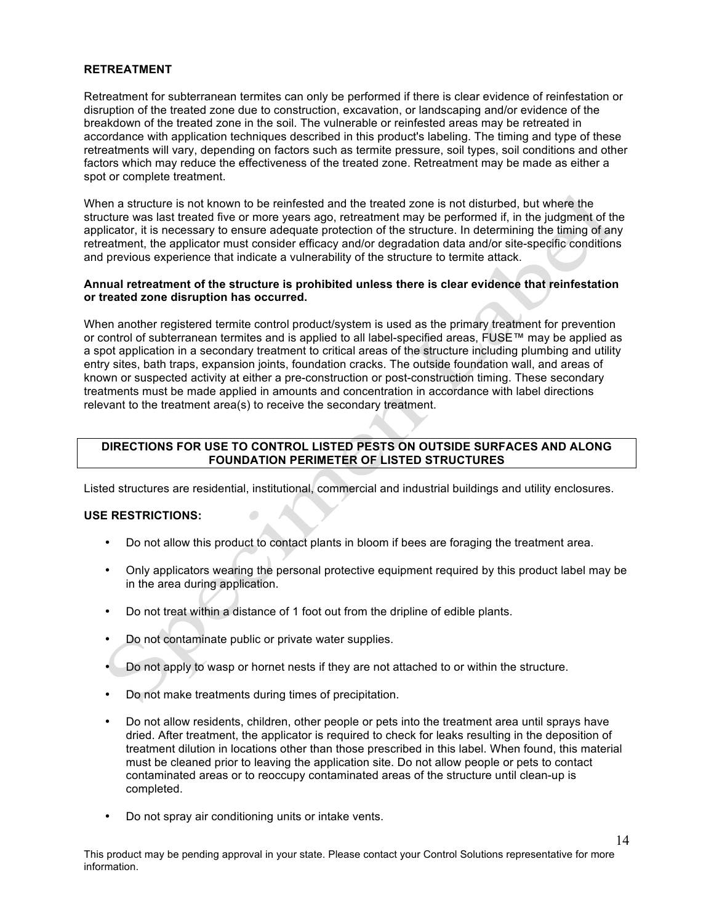#### **RETREATMENT**

Retreatment for subterranean termites can only be performed if there is clear evidence of reinfestation or disruption of the treated zone due to construction, excavation, or landscaping and/or evidence of the breakdown of the treated zone in the soil. The vulnerable or reinfested areas may be retreated in accordance with application techniques described in this product's labeling. The timing and type of these retreatments will vary, depending on factors such as termite pressure, soil types, soil conditions and other factors which may reduce the effectiveness of the treated zone. Retreatment may be made as either a spot or complete treatment.

When a structure is not known to be reinfested and the treated zone is not disturbed, but where the structure was last treated five or more years ago, retreatment may be performed if, in the judgment of the applicator, it is necessary to ensure adequate protection of the structure. In determining the timing of any retreatment, the applicator must consider efficacy and/or degradation data and/or site-specific conditions and previous experience that indicate a vulnerability of the structure to termite attack.

#### **Annual retreatment of the structure is prohibited unless there is clear evidence that reinfestation or treated zone disruption has occurred.**

When another registered termite control product/system is used as the primary treatment for prevention or control of subterranean termites and is applied to all label-specified areas, FUSE™ may be applied as a spot application in a secondary treatment to critical areas of the structure including plumbing and utility entry sites, bath traps, expansion joints, foundation cracks. The outside foundation wall, and areas of known or suspected activity at either a pre-construction or post-construction timing. These secondary treatments must be made applied in amounts and concentration in accordance with label directions relevant to the treatment area(s) to receive the secondary treatment.

## **DIRECTIONS FOR USE TO CONTROL LISTED PESTS ON OUTSIDE SURFACES AND ALONG FOUNDATION PERIMETER OF LISTED STRUCTURES**

Listed structures are residential, institutional, commercial and industrial buildings and utility enclosures.

#### **USE RESTRICTIONS:**

- Do not allow this product to contact plants in bloom if bees are foraging the treatment area.
- Only applicators wearing the personal protective equipment required by this product label may be in the area during application.
- Do not treat within a distance of 1 foot out from the dripline of edible plants.
- Do not contaminate public or private water supplies.

 $\overline{\phantom{0}}$ 

- Do not apply to wasp or hornet nests if they are not attached to or within the structure.
- Do not make treatments during times of precipitation.
- Do not allow residents, children, other people or pets into the treatment area until sprays have dried. After treatment, the applicator is required to check for leaks resulting in the deposition of treatment dilution in locations other than those prescribed in this label. When found, this material must be cleaned prior to leaving the application site. Do not allow people or pets to contact contaminated areas or to reoccupy contaminated areas of the structure until clean-up is completed.
- Do not spray air conditioning units or intake vents.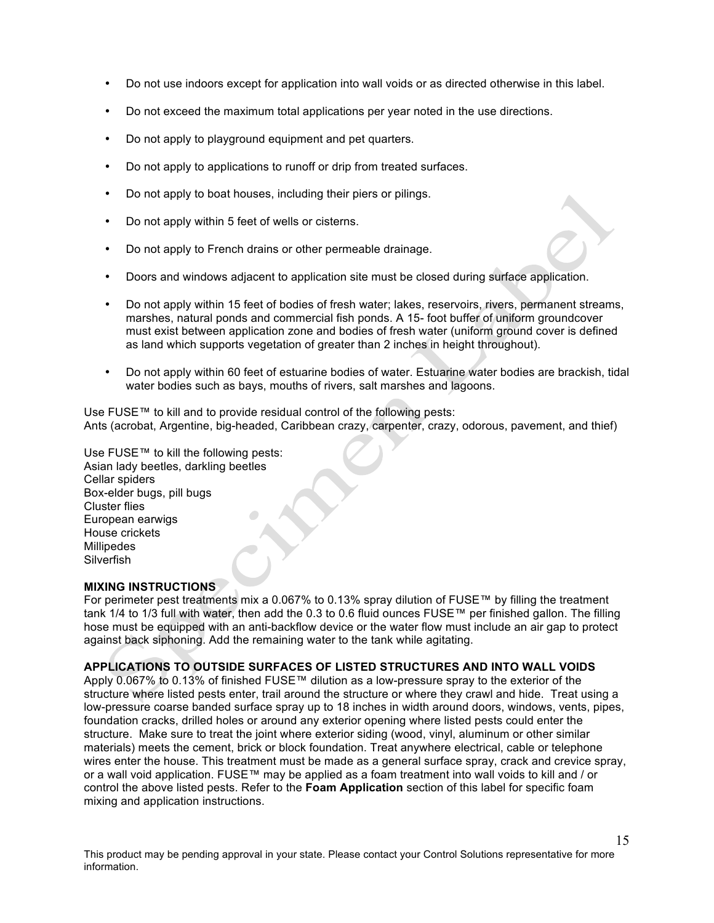- Do not use indoors except for application into wall voids or as directed otherwise in this label.
- Do not exceed the maximum total applications per year noted in the use directions.
- Do not apply to playground equipment and pet quarters.
- Do not apply to applications to runoff or drip from treated surfaces.
- Do not apply to boat houses, including their piers or pilings.
- Do not apply within 5 feet of wells or cisterns.
- Do not apply to French drains or other permeable drainage.
- Doors and windows adjacent to application site must be closed during surface application.
- Do not apply within 15 feet of bodies of fresh water; lakes, reservoirs, rivers, permanent streams, marshes, natural ponds and commercial fish ponds. A 15- foot buffer of uniform groundcover must exist between application zone and bodies of fresh water (uniform ground cover is defined as land which supports vegetation of greater than 2 inches in height throughout).
- Do not apply within 60 feet of estuarine bodies of water. Estuarine water bodies are brackish, tidal water bodies such as bays, mouths of rivers, salt marshes and lagoons.

Use FUSE™ to kill and to provide residual control of the following pests: Ants (acrobat, Argentine, big-headed, Caribbean crazy, carpenter, crazy, odorous, pavement, and thief)

Use FUSE™ to kill the following pests: Asian lady beetles, darkling beetles Cellar spiders Box-elder bugs, pill bugs Cluster flies European earwigs House crickets Millipedes Silverfish

## **MIXING INSTRUCTIONS**

For perimeter pest treatments mix a 0.067% to 0.13% spray dilution of FUSE™ by filling the treatment tank 1/4 to 1/3 full with water, then add the 0.3 to 0.6 fluid ounces FUSE™ per finished gallon. The filling hose must be equipped with an anti-backflow device or the water flow must include an air gap to protect against back siphoning. Add the remaining water to the tank while agitating.

## **APPLICATIONS TO OUTSIDE SURFACES OF LISTED STRUCTURES AND INTO WALL VOIDS**

Apply 0.067% to 0.13% of finished FUSE™ dilution as a low-pressure spray to the exterior of the structure where listed pests enter, trail around the structure or where they crawl and hide. Treat using a low-pressure coarse banded surface spray up to 18 inches in width around doors, windows, vents, pipes, foundation cracks, drilled holes or around any exterior opening where listed pests could enter the structure. Make sure to treat the joint where exterior siding (wood, vinyl, aluminum or other similar materials) meets the cement, brick or block foundation. Treat anywhere electrical, cable or telephone wires enter the house. This treatment must be made as a general surface spray, crack and crevice spray, or a wall void application. FUSE™ may be applied as a foam treatment into wall voids to kill and / or control the above listed pests. Refer to the **Foam Application** section of this label for specific foam mixing and application instructions.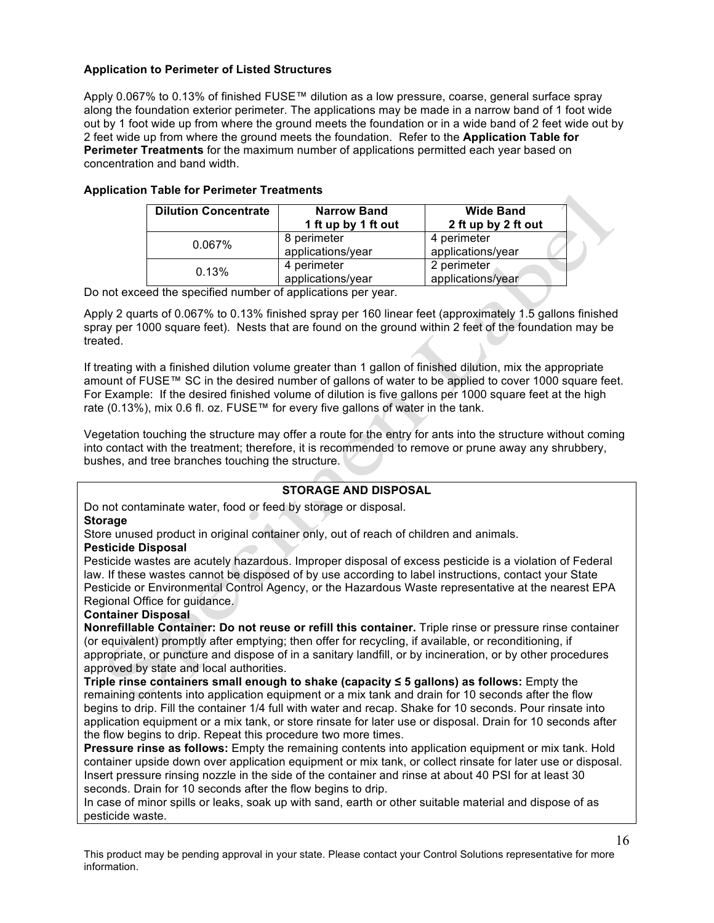## **Application to Perimeter of Listed Structures**

Apply 0.067% to 0.13% of finished FUSE™ dilution as a low pressure, coarse, general surface spray along the foundation exterior perimeter. The applications may be made in a narrow band of 1 foot wide out by 1 foot wide up from where the ground meets the foundation or in a wide band of 2 feet wide out by 2 feet wide up from where the ground meets the foundation. Refer to the **Application Table for Perimeter Treatments** for the maximum number of applications permitted each year based on concentration and band width.

| <b>Dilution Concentrate</b> | <b>Narrow Band</b><br>1 ft up by 1 ft out | <b>Wide Band</b><br>2 ft up by 2 ft out |
|-----------------------------|-------------------------------------------|-----------------------------------------|
| 0.067%                      | 8 perimeter<br>applications/year          | 4 perimeter<br>applications/year        |
| 0.13%                       | 4 perimeter<br>applications/year          | 2 perimeter<br>applications/year        |

## **Application Table for Perimeter Treatments**

Do not exceed the specified number of applications per year.

Apply 2 quarts of 0.067% to 0.13% finished spray per 160 linear feet (approximately 1.5 gallons finished spray per 1000 square feet). Nests that are found on the ground within 2 feet of the foundation may be treated.

If treating with a finished dilution volume greater than 1 gallon of finished dilution, mix the appropriate amount of FUSE™ SC in the desired number of gallons of water to be applied to cover 1000 square feet. For Example: If the desired finished volume of dilution is five gallons per 1000 square feet at the high rate (0.13%), mix 0.6 fl. oz. FUSE™ for every five gallons of water in the tank.

Vegetation touching the structure may offer a route for the entry for ants into the structure without coming into contact with the treatment; therefore, it is recommended to remove or prune away any shrubbery, bushes, and tree branches touching the structure.

#### **STORAGE AND DISPOSAL**

Do not contaminate water, food or feed by storage or disposal.

## **Storage**

Store unused product in original container only, out of reach of children and animals.

#### **Pesticide Disposal**

Pesticide wastes are acutely hazardous. Improper disposal of excess pesticide is a violation of Federal law. If these wastes cannot be disposed of by use according to label instructions, contact your State Pesticide or Environmental Control Agency, or the Hazardous Waste representative at the nearest EPA Regional Office for guidance.

#### **Container Disposal**

**Nonrefillable Container: Do not reuse or refill this container.** Triple rinse or pressure rinse container (or equivalent) promptly after emptying; then offer for recycling, if available, or reconditioning, if appropriate, or puncture and dispose of in a sanitary landfill, or by incineration, or by other procedures approved by state and local authorities.

**Triple rinse containers small enough to shake (capacity ≤ 5 gallons) as follows:** Empty the remaining contents into application equipment or a mix tank and drain for 10 seconds after the flow begins to drip. Fill the container 1/4 full with water and recap. Shake for 10 seconds. Pour rinsate into application equipment or a mix tank, or store rinsate for later use or disposal. Drain for 10 seconds after the flow begins to drip. Repeat this procedure two more times.

**Pressure rinse as follows:** Empty the remaining contents into application equipment or mix tank. Hold container upside down over application equipment or mix tank, or collect rinsate for later use or disposal. Insert pressure rinsing nozzle in the side of the container and rinse at about 40 PSI for at least 30 seconds. Drain for 10 seconds after the flow begins to drip.

In case of minor spills or leaks, soak up with sand, earth or other suitable material and dispose of as pesticide waste.